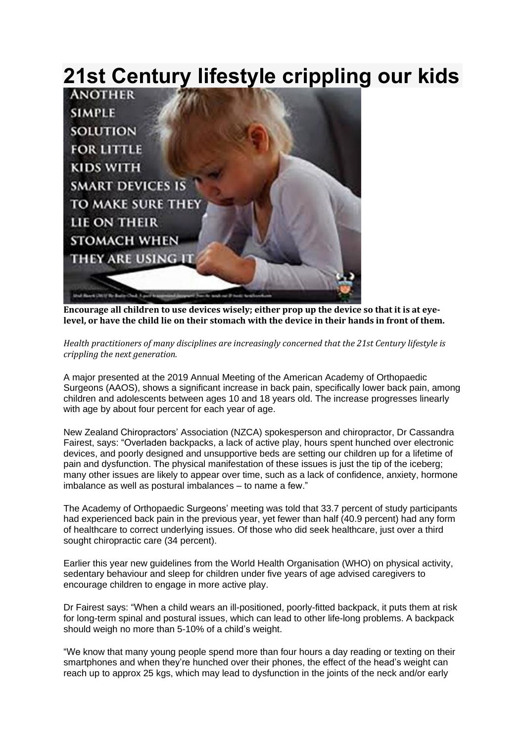## **21st Century lifestyle crippling our kids**



**Encourage all children to use devices wisely; either prop up the device so that it is at eye**level, or have the child lie on their stomach with the device in their hands in front of them.

*Health practitioners of many disciplines are increasingly concerned that the 21st Century lifestyle is crippling the next generation.*

A major presented at the 2019 Annual Meeting of the American Academy of Orthopaedic Surgeons (AAOS), shows a significant increase in back pain, specifically lower back pain, among children and adolescents between ages 10 and 18 years old. The increase progresses linearly with age by about four percent for each year of age.

New Zealand Chiropractors' Association (NZCA) spokesperson and chiropractor, Dr Cassandra Fairest, says: "Overladen backpacks, a lack of active play, hours spent hunched over electronic devices, and poorly designed and unsupportive beds are setting our children up for a lifetime of pain and dysfunction. The physical manifestation of these issues is just the tip of the iceberg; many other issues are likely to appear over time, such as a lack of confidence, anxiety, hormone imbalance as well as postural imbalances – to name a few."

The Academy of Orthopaedic Surgeons' meeting was told that 33.7 percent of study participants had experienced back pain in the previous year, yet fewer than half (40.9 percent) had any form of healthcare to correct underlying issues. Of those who did seek healthcare, just over a third sought chiropractic care (34 percent).

Earlier this year new guidelines from the World Health Organisation (WHO) on physical activity, sedentary behaviour and sleep for children under five years of age advised caregivers to encourage children to engage in more active play.

Dr Fairest says: "When a child wears an ill-positioned, poorly-fitted backpack, it puts them at risk for long-term spinal and postural issues, which can lead to other life-long problems. A backpack should weigh no more than 5-10% of a child's weight.

"We know that many young people spend more than four hours a day reading or texting on their smartphones and when they're hunched over their phones, the effect of the head's weight can reach up to approx 25 kgs, which may lead to dysfunction in the joints of the neck and/or early